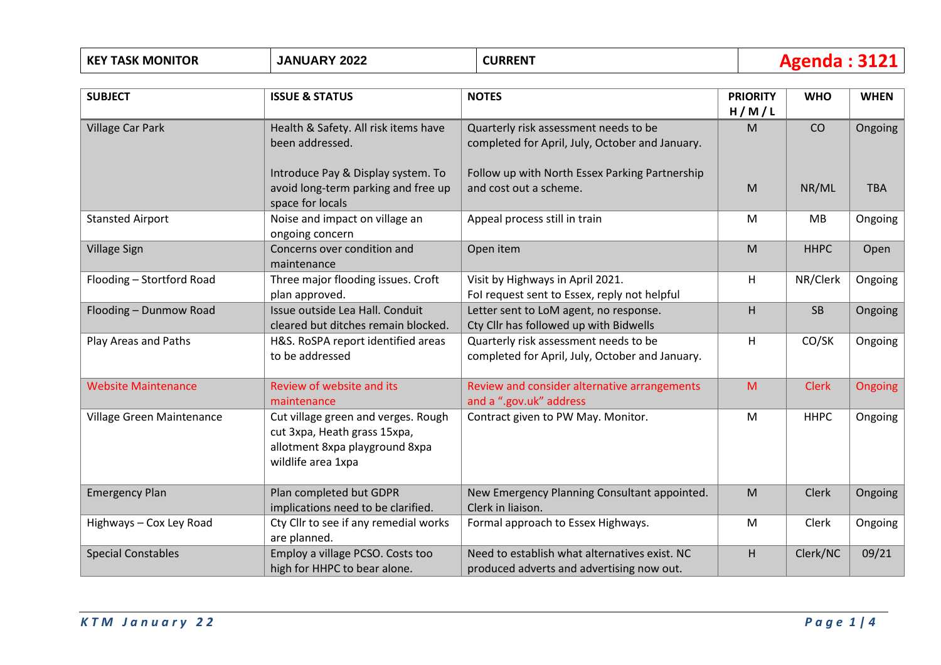| <b>KEY TASK MONITOR</b>    | <b>JANUARY 2022</b>                                                                                                         | <b>CURRENT</b>                                                                             |                          | <b>Agenda: 3121</b> |             |  |
|----------------------------|-----------------------------------------------------------------------------------------------------------------------------|--------------------------------------------------------------------------------------------|--------------------------|---------------------|-------------|--|
| <b>SUBJECT</b>             | <b>ISSUE &amp; STATUS</b>                                                                                                   | <b>NOTES</b>                                                                               | <b>PRIORITY</b><br>H/M/L | <b>WHO</b>          | <b>WHEN</b> |  |
| <b>Village Car Park</b>    | Health & Safety. All risk items have<br>been addressed.                                                                     | Quarterly risk assessment needs to be<br>completed for April, July, October and January.   | M                        | CO                  | Ongoing     |  |
|                            | Introduce Pay & Display system. To<br>avoid long-term parking and free up<br>space for locals                               | Follow up with North Essex Parking Partnership<br>and cost out a scheme.                   | M                        | NR/ML               | <b>TBA</b>  |  |
| <b>Stansted Airport</b>    | Noise and impact on village an<br>ongoing concern                                                                           | Appeal process still in train                                                              | ${\sf M}$                | MB                  | Ongoing     |  |
| <b>Village Sign</b>        | Concerns over condition and<br>maintenance                                                                                  | Open item                                                                                  | M                        | <b>HHPC</b>         | Open        |  |
| Flooding - Stortford Road  | Three major flooding issues. Croft<br>plan approved.                                                                        | Visit by Highways in April 2021.<br>Fol request sent to Essex, reply not helpful           | H                        | NR/Clerk            | Ongoing     |  |
| Flooding - Dunmow Road     | Issue outside Lea Hall. Conduit<br>cleared but ditches remain blocked.                                                      | Letter sent to LoM agent, no response.<br>Cty Cllr has followed up with Bidwells           | H                        | <b>SB</b>           | Ongoing     |  |
| Play Areas and Paths       | H&S. RoSPA report identified areas<br>to be addressed                                                                       | Quarterly risk assessment needs to be<br>completed for April, July, October and January.   | H                        | CO/SK               | Ongoing     |  |
| <b>Website Maintenance</b> | Review of website and its<br>maintenance                                                                                    | Review and consider alternative arrangements<br>and a ".gov.uk" address                    | M                        | <b>Clerk</b>        | Ongoing     |  |
| Village Green Maintenance  | Cut village green and verges. Rough<br>cut 3xpa, Heath grass 15xpa,<br>allotment 8xpa playground 8xpa<br>wildlife area 1xpa | Contract given to PW May. Monitor.                                                         | M                        | <b>HHPC</b>         | Ongoing     |  |
| <b>Emergency Plan</b>      | Plan completed but GDPR<br>implications need to be clarified.                                                               | New Emergency Planning Consultant appointed.<br>Clerk in liaison.                          | M                        | <b>Clerk</b>        | Ongoing     |  |
| Highways - Cox Ley Road    | Cty Cllr to see if any remedial works<br>are planned.                                                                       | Formal approach to Essex Highways.                                                         | M                        | Clerk               | Ongoing     |  |
| <b>Special Constables</b>  | Employ a village PCSO. Costs too<br>high for HHPC to bear alone.                                                            | Need to establish what alternatives exist. NC<br>produced adverts and advertising now out. | H                        | Clerk/NC            | 09/21       |  |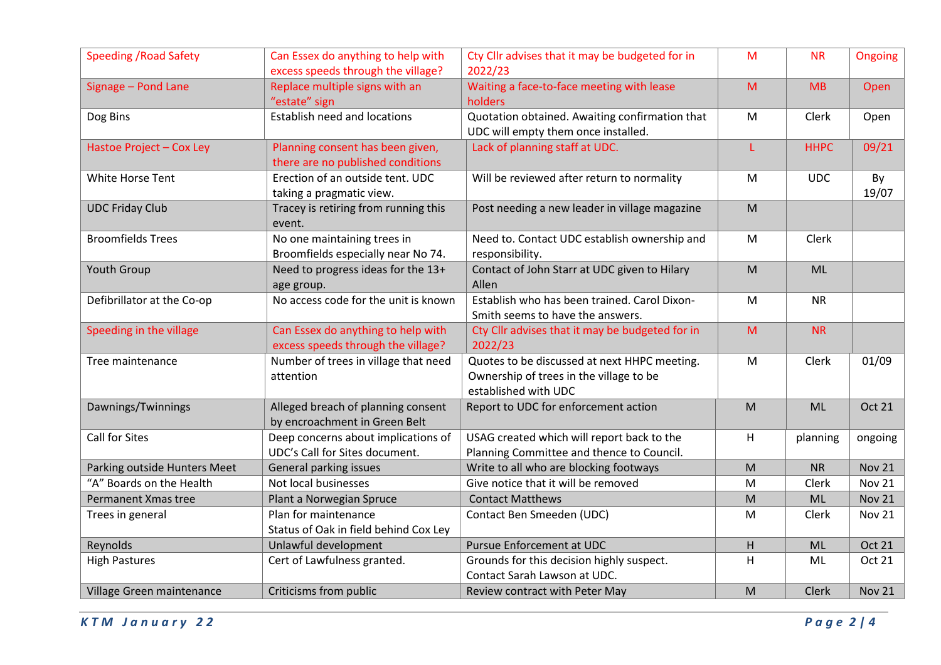| <b>Speeding / Road Safety</b> | Can Essex do anything to help with                                    | Cty Cllr advises that it may be budgeted for in                                         | M                                                                                                          | <b>NR</b>   | Ongoing       |
|-------------------------------|-----------------------------------------------------------------------|-----------------------------------------------------------------------------------------|------------------------------------------------------------------------------------------------------------|-------------|---------------|
|                               | excess speeds through the village?                                    | 2022/23                                                                                 |                                                                                                            |             |               |
| Signage - Pond Lane           | Replace multiple signs with an                                        | Waiting a face-to-face meeting with lease                                               | M                                                                                                          | MB          | Open          |
|                               | "estate" sign                                                         | holders                                                                                 |                                                                                                            |             |               |
| Dog Bins                      | <b>Establish need and locations</b>                                   | Quotation obtained. Awaiting confirmation that<br>UDC will empty them once installed.   | M                                                                                                          | Clerk       | Open          |
| Hastoe Project - Cox Ley      | Planning consent has been given,                                      | Lack of planning staff at UDC.                                                          |                                                                                                            | <b>HHPC</b> | 09/21         |
|                               | there are no published conditions                                     |                                                                                         |                                                                                                            |             |               |
| White Horse Tent              | Erection of an outside tent. UDC                                      | Will be reviewed after return to normality                                              | M                                                                                                          | <b>UDC</b>  | By            |
|                               | taking a pragmatic view.                                              |                                                                                         |                                                                                                            |             | 19/07         |
| <b>UDC Friday Club</b>        | Tracey is retiring from running this<br>event.                        | Post needing a new leader in village magazine                                           | $\mathsf{M}% _{T}=\mathsf{M}_{T}\!\left( a,b\right) ,\ \mathsf{M}_{T}=\mathsf{M}_{T}\!\left( a,b\right) ,$ |             |               |
| <b>Broomfields Trees</b>      | No one maintaining trees in                                           | Need to. Contact UDC establish ownership and                                            | M                                                                                                          | Clerk       |               |
|                               | Broomfields especially near No 74.                                    | responsibility.                                                                         |                                                                                                            |             |               |
| Youth Group                   | Need to progress ideas for the 13+                                    | Contact of John Starr at UDC given to Hilary                                            | M                                                                                                          | <b>ML</b>   |               |
|                               | age group.                                                            | Allen                                                                                   |                                                                                                            |             |               |
| Defibrillator at the Co-op    | No access code for the unit is known                                  | Establish who has been trained. Carol Dixon-                                            | ${\sf M}$                                                                                                  | <b>NR</b>   |               |
|                               |                                                                       | Smith seems to have the answers.                                                        |                                                                                                            |             |               |
| Speeding in the village       | Can Essex do anything to help with                                    | Cty Cllr advises that it may be budgeted for in                                         | M                                                                                                          | <b>NR</b>   |               |
|                               | excess speeds through the village?                                    | 2022/23                                                                                 |                                                                                                            |             |               |
| Tree maintenance              | Number of trees in village that need                                  | Quotes to be discussed at next HHPC meeting.                                            | M                                                                                                          | Clerk       | 01/09         |
|                               | attention                                                             | Ownership of trees in the village to be                                                 |                                                                                                            |             |               |
|                               |                                                                       | established with UDC                                                                    |                                                                                                            |             |               |
| Dawnings/Twinnings            | Alleged breach of planning consent                                    | Report to UDC for enforcement action                                                    | M                                                                                                          | ML          | <b>Oct 21</b> |
| <b>Call for Sites</b>         | by encroachment in Green Belt                                         |                                                                                         |                                                                                                            |             |               |
|                               | Deep concerns about implications of<br>UDC's Call for Sites document. | USAG created which will report back to the<br>Planning Committee and thence to Council. | H                                                                                                          | planning    | ongoing       |
| Parking outside Hunters Meet  | General parking issues                                                | Write to all who are blocking footways                                                  | M                                                                                                          | <b>NR</b>   | <b>Nov 21</b> |
| "A" Boards on the Health      | Not local businesses                                                  | Give notice that it will be removed                                                     | M                                                                                                          | Clerk       | <b>Nov 21</b> |
| Permanent Xmas tree           | Plant a Norwegian Spruce                                              | <b>Contact Matthews</b>                                                                 | M                                                                                                          | <b>ML</b>   | <b>Nov 21</b> |
|                               | Plan for maintenance                                                  | Contact Ben Smeeden (UDC)                                                               | M                                                                                                          | Clerk       | <b>Nov 21</b> |
| Trees in general              | Status of Oak in field behind Cox Ley                                 |                                                                                         |                                                                                                            |             |               |
| Reynolds                      | Unlawful development                                                  | <b>Pursue Enforcement at UDC</b>                                                        | H                                                                                                          | ML          | Oct 21        |
| <b>High Pastures</b>          | Cert of Lawfulness granted.                                           | Grounds for this decision highly suspect.                                               | H                                                                                                          | ML          | Oct 21        |
|                               |                                                                       | Contact Sarah Lawson at UDC.                                                            |                                                                                                            |             |               |
| Village Green maintenance     | Criticisms from public                                                | Review contract with Peter May                                                          | M                                                                                                          | Clerk       | <b>Nov 21</b> |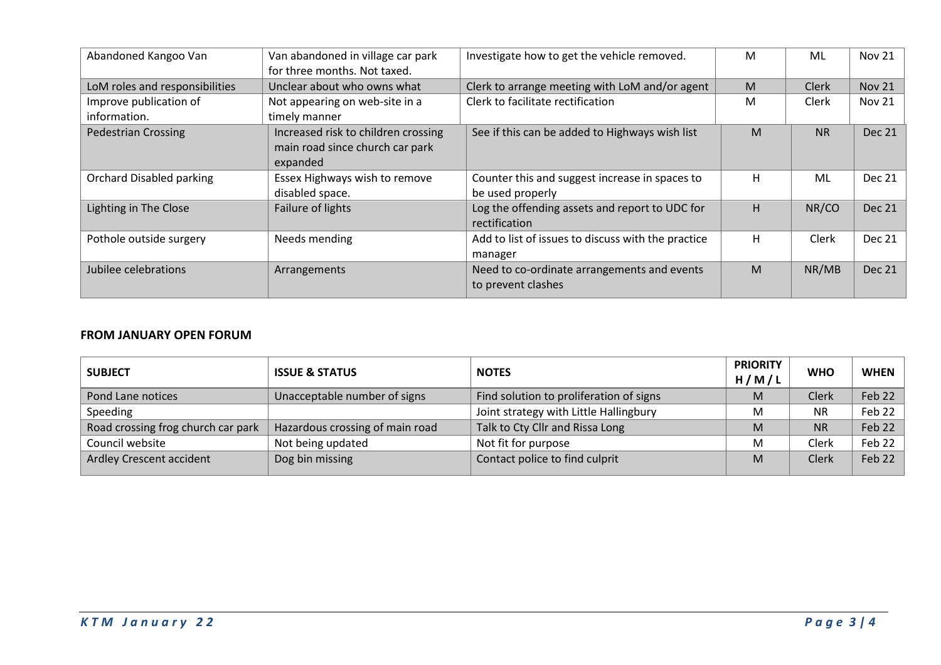| Abandoned Kangoo Van            | Van abandoned in village car park<br>for three months. Not taxed. | Investigate how to get the vehicle removed.        | M  | ML           | <b>Nov 21</b> |
|---------------------------------|-------------------------------------------------------------------|----------------------------------------------------|----|--------------|---------------|
| LoM roles and responsibilities  | Unclear about who owns what                                       | Clerk to arrange meeting with LoM and/or agent     | M  | <b>Clerk</b> | <b>Nov 21</b> |
| Improve publication of          | Not appearing on web-site in a                                    | Clerk to facilitate rectification                  | M  | Clerk        | <b>Nov 21</b> |
| information.                    | timely manner                                                     |                                                    |    |              |               |
| <b>Pedestrian Crossing</b>      | Increased risk to children crossing                               | See if this can be added to Highways wish list     | M  | <b>NR</b>    | <b>Dec 21</b> |
|                                 | main road since church car park                                   |                                                    |    |              |               |
|                                 | expanded                                                          |                                                    |    |              |               |
| <b>Orchard Disabled parking</b> | Essex Highways wish to remove                                     | Counter this and suggest increase in spaces to     | н  | ML           | <b>Dec 21</b> |
|                                 | disabled space.                                                   | be used properly                                   |    |              |               |
| Lighting in The Close           | Failure of lights                                                 | Log the offending assets and report to UDC for     | H. | NR/CO        | <b>Dec 21</b> |
|                                 |                                                                   | rectification                                      |    |              |               |
| Pothole outside surgery         | Needs mending                                                     | Add to list of issues to discuss with the practice | н  | Clerk        | <b>Dec 21</b> |
|                                 |                                                                   | manager                                            |    |              |               |
| Jubilee celebrations            | Arrangements                                                      | Need to co-ordinate arrangements and events        | M  | NR/MB        | <b>Dec 21</b> |
|                                 |                                                                   | to prevent clashes                                 |    |              |               |
|                                 |                                                                   |                                                    |    |              |               |

## **FROM JANUARY OPEN FORUM**

| <b>SUBJECT</b>                     | <b>ISSUE &amp; STATUS</b>       | <b>NOTES</b>                            | <b>PRIORITY</b><br>H/M/L | <b>WHO</b> | <b>WHEN</b> |
|------------------------------------|---------------------------------|-----------------------------------------|--------------------------|------------|-------------|
| Pond Lane notices                  | Unacceptable number of signs    | Find solution to proliferation of signs | M                        | Clerk      | Feb 22      |
| Speeding                           |                                 | Joint strategy with Little Hallingbury  | M                        | <b>NR</b>  | Feb 22      |
| Road crossing frog church car park | Hazardous crossing of main road | Talk to Cty Cllr and Rissa Long         | M                        | <b>NR</b>  | Feb 22      |
| Council website                    | Not being updated               | Not fit for purpose                     | M                        | Clerk      | Feb 22      |
| Ardley Crescent accident           | Dog bin missing                 | Contact police to find culprit          | M                        | Clerk      | Feb 22      |